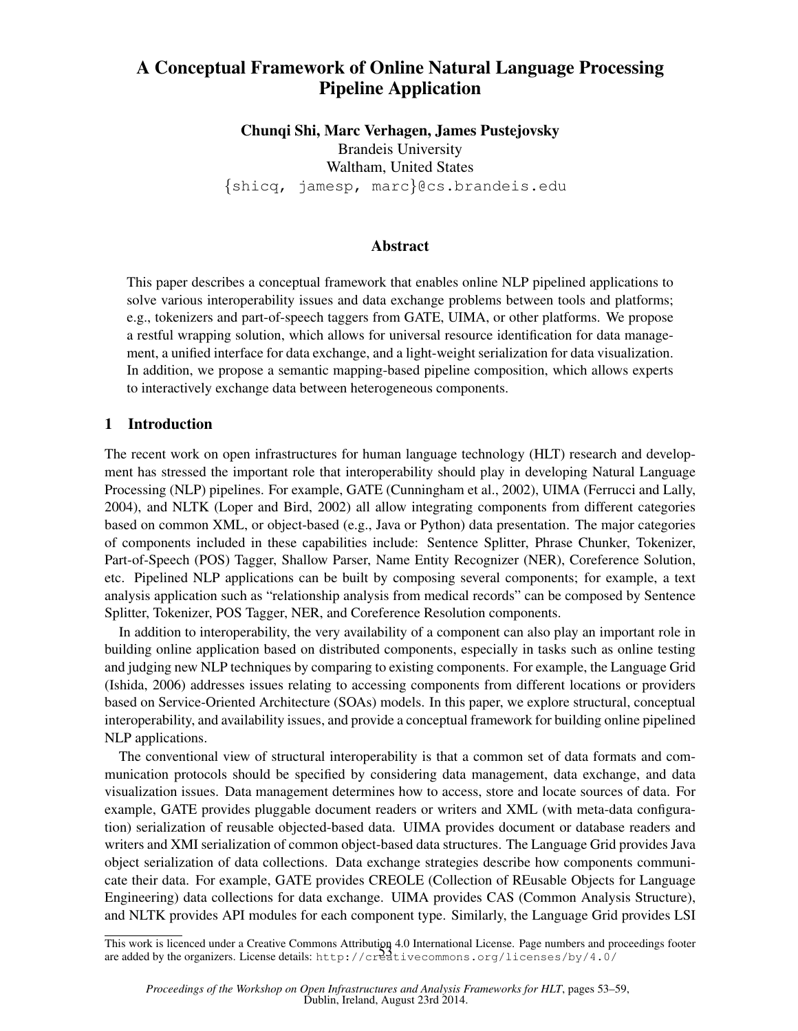# A Conceptual Framework of Online Natural Language Processing Pipeline Application

Chunqi Shi, Marc Verhagen, James Pustejovsky Brandeis University Waltham, United States {shicq, jamesp, marc}@cs.brandeis.edu

### Abstract

This paper describes a conceptual framework that enables online NLP pipelined applications to solve various interoperability issues and data exchange problems between tools and platforms; e.g., tokenizers and part-of-speech taggers from GATE, UIMA, or other platforms. We propose a restful wrapping solution, which allows for universal resource identification for data management, a unified interface for data exchange, and a light-weight serialization for data visualization. In addition, we propose a semantic mapping-based pipeline composition, which allows experts to interactively exchange data between heterogeneous components.

### 1 Introduction

The recent work on open infrastructures for human language technology (HLT) research and development has stressed the important role that interoperability should play in developing Natural Language Processing (NLP) pipelines. For example, GATE (Cunningham et al., 2002), UIMA (Ferrucci and Lally, 2004), and NLTK (Loper and Bird, 2002) all allow integrating components from different categories based on common XML, or object-based (e.g., Java or Python) data presentation. The major categories of components included in these capabilities include: Sentence Splitter, Phrase Chunker, Tokenizer, Part-of-Speech (POS) Tagger, Shallow Parser, Name Entity Recognizer (NER), Coreference Solution, etc. Pipelined NLP applications can be built by composing several components; for example, a text analysis application such as "relationship analysis from medical records" can be composed by Sentence Splitter, Tokenizer, POS Tagger, NER, and Coreference Resolution components.

In addition to interoperability, the very availability of a component can also play an important role in building online application based on distributed components, especially in tasks such as online testing and judging new NLP techniques by comparing to existing components. For example, the Language Grid (Ishida, 2006) addresses issues relating to accessing components from different locations or providers based on Service-Oriented Architecture (SOAs) models. In this paper, we explore structural, conceptual interoperability, and availability issues, and provide a conceptual framework for building online pipelined NLP applications.

The conventional view of structural interoperability is that a common set of data formats and communication protocols should be specified by considering data management, data exchange, and data visualization issues. Data management determines how to access, store and locate sources of data. For example, GATE provides pluggable document readers or writers and XML (with meta-data configuration) serialization of reusable objected-based data. UIMA provides document or database readers and writers and XMI serialization of common object-based data structures. The Language Grid provides Java object serialization of data collections. Data exchange strategies describe how components communicate their data. For example, GATE provides CREOLE (Collection of REusable Objects for Language Engineering) data collections for data exchange. UIMA provides CAS (Common Analysis Structure), and NLTK provides API modules for each component type. Similarly, the Language Grid provides LSI

This work is licenced under a Creative Commons Attribution 4.0 International License. Page numbers and proceedings footer are added by the organizers. License details: http://creativecommons.org/licenses/by/4.0/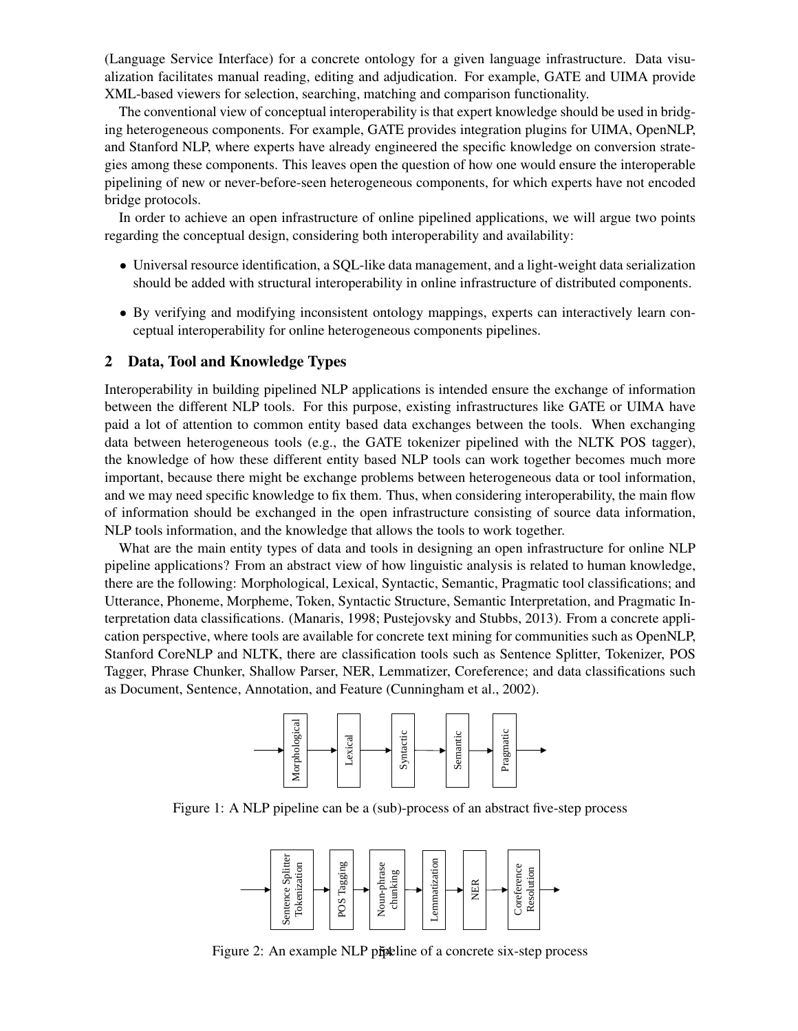(Language Service Interface) for a concrete ontology for a given language infrastructure. Data visualization facilitates manual reading, editing and adjudication. For example, GATE and UIMA provide XML-based viewers for selection, searching, matching and comparison functionality.

The conventional view of conceptual interoperability is that expert knowledge should be used in bridging heterogeneous components. For example, GATE provides integration plugins for UIMA, OpenNLP, and Stanford NLP, where experts have already engineered the specific knowledge on conversion strategies among these components. This leaves open the question of how one would ensure the interoperable pipelining of new or never-before-seen heterogeneous components, for which experts have not encoded bridge protocols.

In order to achieve an open infrastructure of online pipelined applications, we will argue two points regarding the conceptual design, considering both interoperability and availability:

- Universal resource identification, a SQL-like data management, and a light-weight data serialization should be added with structural interoperability in online infrastructure of distributed components.
- By verifying and modifying inconsistent ontology mappings, experts can interactively learn conceptual interoperability for online heterogeneous components pipelines.

#### 2 Data, Tool and Knowledge Types

Interoperability in building pipelined NLP applications is intended ensure the exchange of information between the different NLP tools. For this purpose, existing infrastructures like GATE or UIMA have paid a lot of attention to common entity based data exchanges between the tools. When exchanging data between heterogeneous tools (e.g., the GATE tokenizer pipelined with the NLTK POS tagger), the knowledge of how these different entity based NLP tools can work together becomes much more important, because there might be exchange problems between heterogeneous data or tool information, and we may need specific knowledge to fix them. Thus, when considering interoperability, the main flow of information should be exchanged in the open infrastructure consisting of source data information, NLP tools information, and the knowledge that allows the tools to work together.

What are the main entity types of data and tools in designing an open infrastructure for online NLP pipeline applications? From an abstract view of how linguistic analysis is related to human knowledge, there are the following: Morphological, Lexical, Syntactic, Semantic, Pragmatic tool classifications; and Utterance, Phoneme, Morpheme, Token, Syntactic Structure, Semantic Interpretation, and Pragmatic Interpretation data classifications. (Manaris, 1998; Pustejovsky and Stubbs, 2013). From a concrete application perspective, where tools are available for concrete text mining for communities such as OpenNLP, Stanford CoreNLP and NLTK, there are classification tools such as Sentence Splitter, Tokenizer, POS Tagger, Phrase Chunker, Shallow Parser, NER, Lemmatizer, Coreference; and data classifications such as Document, Sentence, Annotation, and Feature (Cunningham et al., 2002).



Figure 1: A NLP pipeline can be a (sub)-process of an abstract five-step process



Figure 2: An example NLP pipeline of a concrete six-step process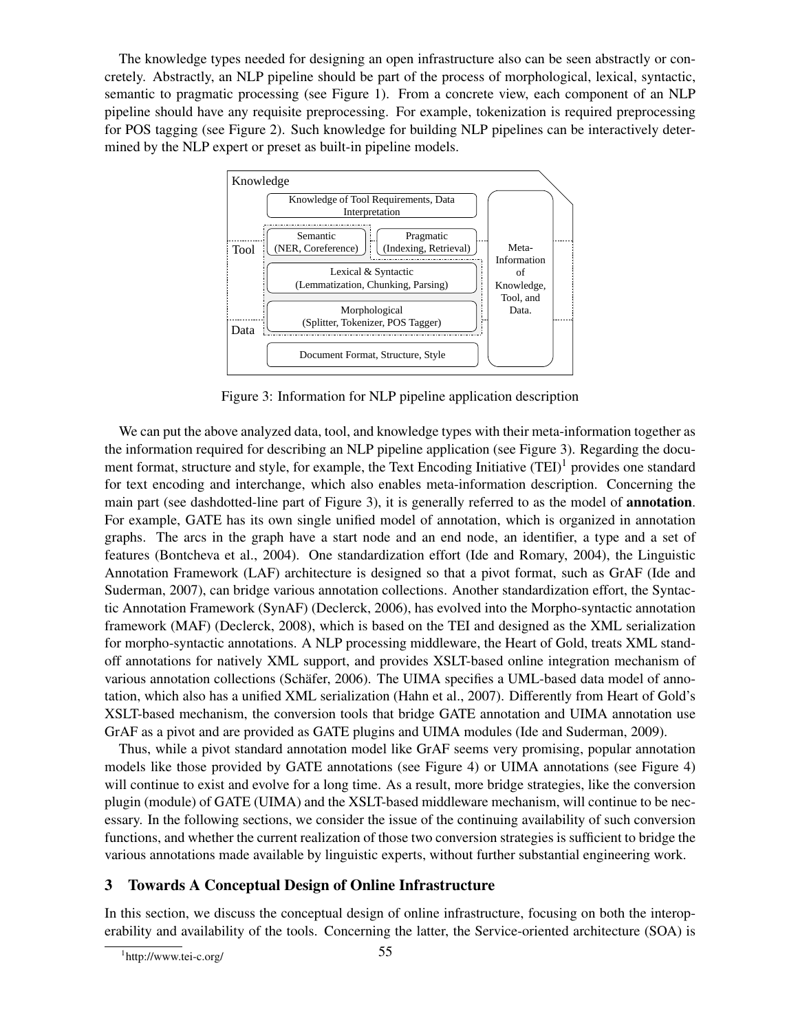The knowledge types needed for designing an open infrastructure also can be seen abstractly or concretely. Abstractly, an NLP pipeline should be part of the process of morphological, lexical, syntactic, semantic to pragmatic processing (see Figure 1). From a concrete view, each component of an NLP pipeline should have any requisite preprocessing. For example, tokenization is required preprocessing for POS tagging (see Figure 2). Such knowledge for building NLP pipelines can be interactively determined by the NLP expert or preset as built-in pipeline models.



Figure 3: Information for NLP pipeline application description

We can put the above analyzed data, tool, and knowledge types with their meta-information together as the information required for describing an NLP pipeline application (see Figure 3). Regarding the document format, structure and style, for example, the Text Encoding Initiative  $(TEI)^{1}$  provides one standard for text encoding and interchange, which also enables meta-information description. Concerning the main part (see dashdotted-line part of Figure 3), it is generally referred to as the model of **annotation**. For example, GATE has its own single unified model of annotation, which is organized in annotation graphs. The arcs in the graph have a start node and an end node, an identifier, a type and a set of features (Bontcheva et al., 2004). One standardization effort (Ide and Romary, 2004), the Linguistic Annotation Framework (LAF) architecture is designed so that a pivot format, such as GrAF (Ide and Suderman, 2007), can bridge various annotation collections. Another standardization effort, the Syntactic Annotation Framework (SynAF) (Declerck, 2006), has evolved into the Morpho-syntactic annotation framework (MAF) (Declerck, 2008), which is based on the TEI and designed as the XML serialization for morpho-syntactic annotations. A NLP processing middleware, the Heart of Gold, treats XML standoff annotations for natively XML support, and provides XSLT-based online integration mechanism of various annotation collections (Schäfer, 2006). The UIMA specifies a UML-based data model of annotation, which also has a unified XML serialization (Hahn et al., 2007). Differently from Heart of Gold's XSLT-based mechanism, the conversion tools that bridge GATE annotation and UIMA annotation use GrAF as a pivot and are provided as GATE plugins and UIMA modules (Ide and Suderman, 2009).

Thus, while a pivot standard annotation model like GrAF seems very promising, popular annotation models like those provided by GATE annotations (see Figure 4) or UIMA annotations (see Figure 4) will continue to exist and evolve for a long time. As a result, more bridge strategies, like the conversion plugin (module) of GATE (UIMA) and the XSLT-based middleware mechanism, will continue to be necessary. In the following sections, we consider the issue of the continuing availability of such conversion functions, and whether the current realization of those two conversion strategies is sufficient to bridge the various annotations made available by linguistic experts, without further substantial engineering work.

## 3 Towards A Conceptual Design of Online Infrastructure

In this section, we discuss the conceptual design of online infrastructure, focusing on both the interoperability and availability of the tools. Concerning the latter, the Service-oriented architecture (SOA) is

<sup>1</sup> http://www.tei-c.org/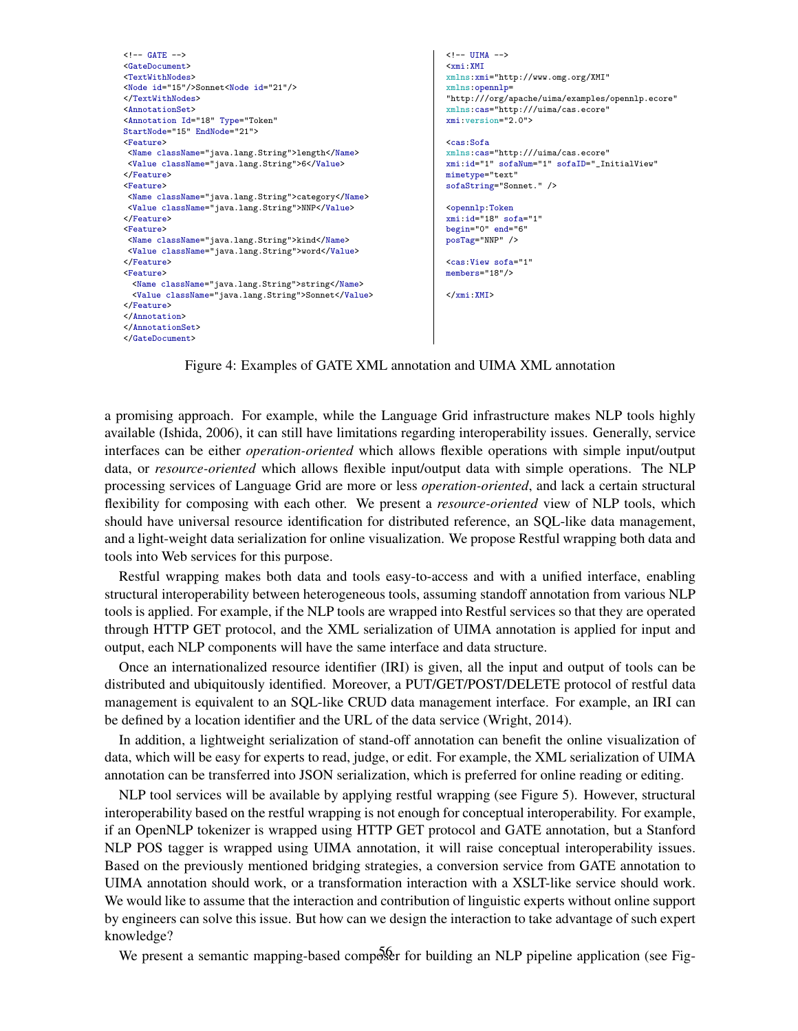```
\leftarrow -- GATE -->
<GateDocument>
<TextWithNodes>
<Node id="15"/>Sonnet<Node id="21"/>
</TextWithNodes>
<AnnotationSet>
<Annotation Id="18" Type="Token"
StartNode="15" EndNode="21">
<Feature>
 <Name className="java.lang.String">length</Name>
 <Value className="java.lang.String">6</Value>
</Feature>
<Feature>
<Name className="java.lang.String">category</Name>
<Value className="java.lang.String">NNP</Value>
</Feature>
<Feature>
 <Name className="java.lang.String">kind</Name>
 <Value className="java.lang.String">word</Value>
</Feature>
<Feature>
 <Name className="java.lang.String">string</Name>
 <Value className="java.lang.String">Sonnet</Value>
</Feature>
</Annotation>
</AnnotationSet>
</GateDocument>
                                                                     \leftarrow! - UIMA -<xmi:XMI
                                                                     xmlns:xmi="http://www.omg.org/XMI"
                                                                     xmlns:opennlp=
                                                                     "http:///org/apache/uima/examples/opennlp.ecore"
                                                                     xmlns:cas="http:///uima/cas.ecore"
                                                                     xmi:version="2.0">
                                                                     <cas:Sofa
                                                                     xmlns:cas="http:///uima/cas.ecore"
                                                                     xmi:id="1" sofaNum="1" sofaID="_InitialView"
                                                                     mimetype="text"
                                                                     sofaString="Sonnet." />
                                                                     <opennlp:Token
                                                                     xmi:id="18" sofa="1"
                                                                     begin="0" end="6"
                                                                     posTag="NNP" />
                                                                     <cas:View sofa="1"
                                                                     members="18"/>
                                                                     </xmi:XMI>
```
Figure 4: Examples of GATE XML annotation and UIMA XML annotation

a promising approach. For example, while the Language Grid infrastructure makes NLP tools highly available (Ishida, 2006), it can still have limitations regarding interoperability issues. Generally, service interfaces can be either *operation-oriented* which allows flexible operations with simple input/output data, or *resource-oriented* which allows flexible input/output data with simple operations. The NLP processing services of Language Grid are more or less *operation-oriented*, and lack a certain structural flexibility for composing with each other. We present a *resource-oriented* view of NLP tools, which should have universal resource identification for distributed reference, an SQL-like data management, and a light-weight data serialization for online visualization. We propose Restful wrapping both data and tools into Web services for this purpose.

Restful wrapping makes both data and tools easy-to-access and with a unified interface, enabling structural interoperability between heterogeneous tools, assuming standoff annotation from various NLP tools is applied. For example, if the NLP tools are wrapped into Restful services so that they are operated through HTTP GET protocol, and the XML serialization of UIMA annotation is applied for input and output, each NLP components will have the same interface and data structure.

Once an internationalized resource identifier (IRI) is given, all the input and output of tools can be distributed and ubiquitously identified. Moreover, a PUT/GET/POST/DELETE protocol of restful data management is equivalent to an SQL-like CRUD data management interface. For example, an IRI can be defined by a location identifier and the URL of the data service (Wright, 2014).

In addition, a lightweight serialization of stand-off annotation can benefit the online visualization of data, which will be easy for experts to read, judge, or edit. For example, the XML serialization of UIMA annotation can be transferred into JSON serialization, which is preferred for online reading or editing.

NLP tool services will be available by applying restful wrapping (see Figure 5). However, structural interoperability based on the restful wrapping is not enough for conceptual interoperability. For example, if an OpenNLP tokenizer is wrapped using HTTP GET protocol and GATE annotation, but a Stanford NLP POS tagger is wrapped using UIMA annotation, it will raise conceptual interoperability issues. Based on the previously mentioned bridging strategies, a conversion service from GATE annotation to UIMA annotation should work, or a transformation interaction with a XSLT-like service should work. We would like to assume that the interaction and contribution of linguistic experts without online support by engineers can solve this issue. But how can we design the interaction to take advantage of such expert knowledge?

We present a semantic mapping-based composer for building an NLP pipeline application (see Fig-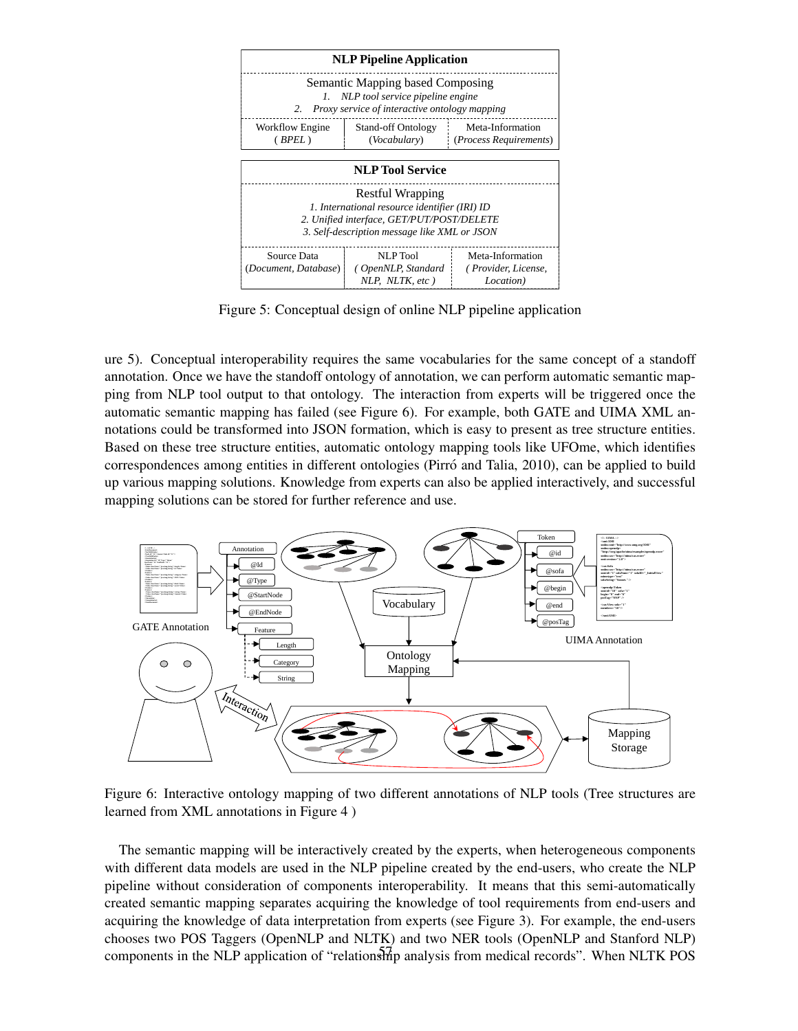

Figure 5: Conceptual design of online NLP pipeline application

ure 5). Conceptual interoperability requires the same vocabularies for the same concept of a standoff annotation. Once we have the standoff ontology of annotation, we can perform automatic semantic mapping from NLP tool output to that ontology. The interaction from experts will be triggered once the automatic semantic mapping has failed (see Figure 6). For example, both GATE and UIMA XML annotations could be transformed into JSON formation, which is easy to present as tree structure entities. Based on these tree structure entities, automatic ontology mapping tools like UFOme, which identifies correspondences among entities in different ontologies (Pirró and Talia, 2010), can be applied to build up various mapping solutions. Knowledge from experts can also be applied interactively, and successful mapping solutions can be stored for further reference and use.



Figure 6: Interactive ontology mapping of two different annotations of NLP tools (Tree structures are learned from XML annotations in Figure 4 )

The semantic mapping will be interactively created by the experts, when heterogeneous components with different data models are used in the NLP pipeline created by the end-users, who create the NLP pipeline without consideration of components interoperability. It means that this semi-automatically created semantic mapping separates acquiring the knowledge of tool requirements from end-users and acquiring the knowledge of data interpretation from experts (see Figure 3). For example, the end-users chooses two POS Taggers (OpenNLP and NLTK) and two NER tools (OpenNLP and Stanford NLP) components in the NLP application of "relationship analysis from medical records". When NLTK POS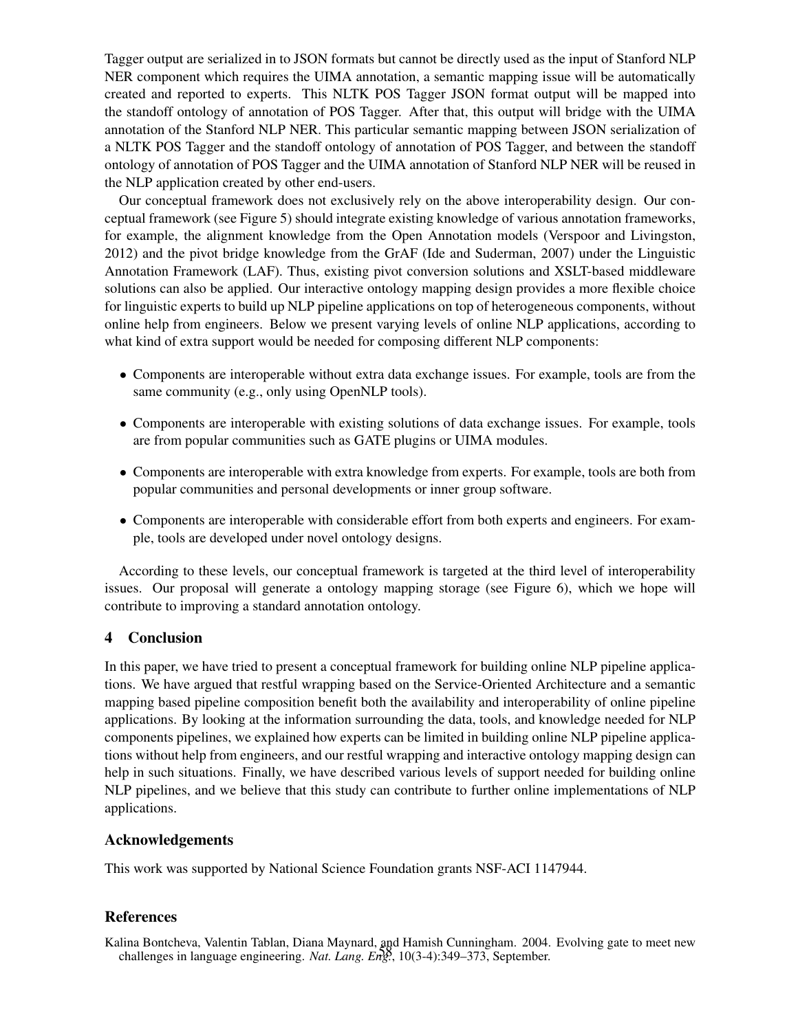Tagger output are serialized in to JSON formats but cannot be directly used as the input of Stanford NLP NER component which requires the UIMA annotation, a semantic mapping issue will be automatically created and reported to experts. This NLTK POS Tagger JSON format output will be mapped into the standoff ontology of annotation of POS Tagger. After that, this output will bridge with the UIMA annotation of the Stanford NLP NER. This particular semantic mapping between JSON serialization of a NLTK POS Tagger and the standoff ontology of annotation of POS Tagger, and between the standoff ontology of annotation of POS Tagger and the UIMA annotation of Stanford NLP NER will be reused in the NLP application created by other end-users.

Our conceptual framework does not exclusively rely on the above interoperability design. Our conceptual framework (see Figure 5) should integrate existing knowledge of various annotation frameworks, for example, the alignment knowledge from the Open Annotation models (Verspoor and Livingston, 2012) and the pivot bridge knowledge from the GrAF (Ide and Suderman, 2007) under the Linguistic Annotation Framework (LAF). Thus, existing pivot conversion solutions and XSLT-based middleware solutions can also be applied. Our interactive ontology mapping design provides a more flexible choice for linguistic experts to build up NLP pipeline applications on top of heterogeneous components, without online help from engineers. Below we present varying levels of online NLP applications, according to what kind of extra support would be needed for composing different NLP components:

- Components are interoperable without extra data exchange issues. For example, tools are from the same community (e.g., only using OpenNLP tools).
- Components are interoperable with existing solutions of data exchange issues. For example, tools are from popular communities such as GATE plugins or UIMA modules.
- Components are interoperable with extra knowledge from experts. For example, tools are both from popular communities and personal developments or inner group software.
- Components are interoperable with considerable effort from both experts and engineers. For example, tools are developed under novel ontology designs.

According to these levels, our conceptual framework is targeted at the third level of interoperability issues. Our proposal will generate a ontology mapping storage (see Figure 6), which we hope will contribute to improving a standard annotation ontology.

### 4 Conclusion

In this paper, we have tried to present a conceptual framework for building online NLP pipeline applications. We have argued that restful wrapping based on the Service-Oriented Architecture and a semantic mapping based pipeline composition benefit both the availability and interoperability of online pipeline applications. By looking at the information surrounding the data, tools, and knowledge needed for NLP components pipelines, we explained how experts can be limited in building online NLP pipeline applications without help from engineers, and our restful wrapping and interactive ontology mapping design can help in such situations. Finally, we have described various levels of support needed for building online NLP pipelines, and we believe that this study can contribute to further online implementations of NLP applications.

### Acknowledgements

This work was supported by National Science Foundation grants NSF-ACI 1147944.

### References

Kalina Bontcheva, Valentin Tablan, Diana Maynard, and Hamish Cunningham. 2004. Evolving gate to meet new challenges in language engineering. *Nat. Lang. Eng.*, 10(3-4):349–373, September.